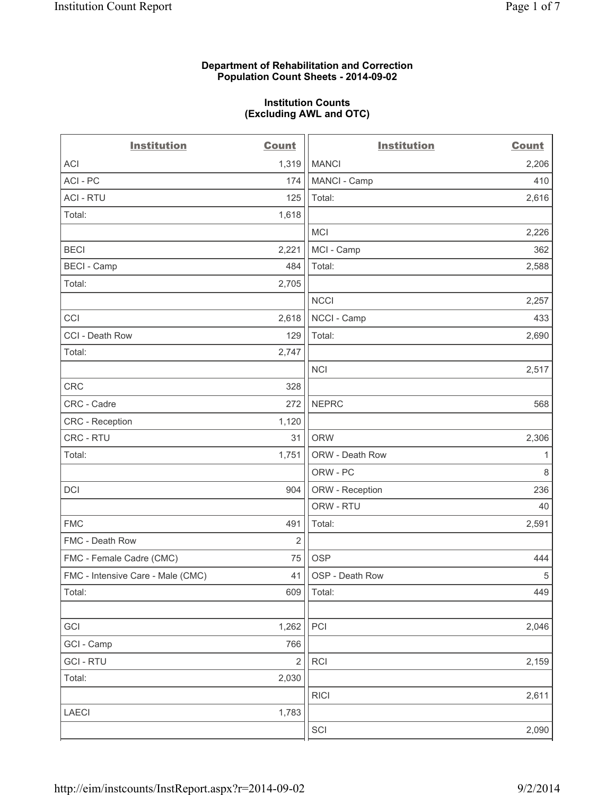#### **Department of Rehabilitation and Correction Population Count Sheets - 2014-09-02**

#### **Institution Counts (Excluding AWL and OTC)**

| <b>Institution</b>                | <b>Count</b>   | <b>Institution</b> | <b>Count</b> |
|-----------------------------------|----------------|--------------------|--------------|
| <b>ACI</b>                        | 1,319          | <b>MANCI</b>       | 2,206        |
| ACI - PC                          | 174            | MANCI - Camp       | 410          |
| <b>ACI - RTU</b>                  | 125            | Total:             | 2,616        |
| Total:                            | 1,618          |                    |              |
|                                   |                | <b>MCI</b>         | 2,226        |
| <b>BECI</b>                       | 2,221          | MCI - Camp         | 362          |
| <b>BECI - Camp</b>                | 484            | Total:             | 2,588        |
| Total:                            | 2,705          |                    |              |
|                                   |                | <b>NCCI</b>        | 2,257        |
| CCI                               | 2,618          | NCCI - Camp        | 433          |
| CCI - Death Row                   | 129            | Total:             | 2,690        |
| Total:                            | 2,747          |                    |              |
|                                   |                | <b>NCI</b>         | 2,517        |
| CRC                               | 328            |                    |              |
| CRC - Cadre                       | 272            | <b>NEPRC</b>       | 568          |
| CRC - Reception                   | 1,120          |                    |              |
| CRC - RTU                         | 31             | <b>ORW</b>         | 2,306        |
| Total:                            | 1,751          | ORW - Death Row    | 1            |
|                                   |                | ORW - PC           | $\,8\,$      |
| <b>DCI</b>                        | 904            | ORW - Reception    | 236          |
|                                   |                | ORW - RTU          | 40           |
| <b>FMC</b>                        | 491            | Total:             | 2,591        |
| FMC - Death Row                   | $\overline{2}$ |                    |              |
| FMC - Female Cadre (CMC)          | 75             | <b>OSP</b>         | 444          |
| FMC - Intensive Care - Male (CMC) | 41             | OSP - Death Row    | $\,$ 5 $\,$  |
| Total:                            | 609            | Total:             | 449          |
|                                   |                |                    |              |
| GCI                               | 1,262          | $\mathsf{PCI}$     | 2,046        |
| GCI - Camp                        | 766            |                    |              |
| <b>GCI-RTU</b>                    | $\overline{2}$ | <b>RCI</b>         | 2,159        |
| Total:                            | 2,030          |                    |              |
|                                   |                | <b>RICI</b>        | 2,611        |
| <b>LAECI</b>                      | 1,783          |                    |              |
|                                   |                | SCI                | 2,090        |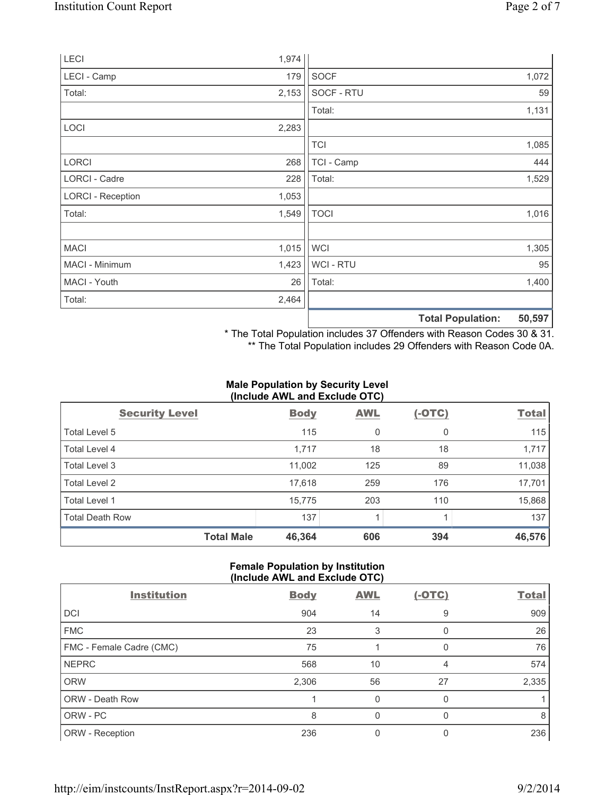| LECI                     | 1,974 |                |                          |        |
|--------------------------|-------|----------------|--------------------------|--------|
| LECI - Camp              | 179   | <b>SOCF</b>    |                          | 1,072  |
| Total:                   | 2,153 | SOCF - RTU     |                          | 59     |
|                          |       | Total:         |                          | 1,131  |
| LOCI                     | 2,283 |                |                          |        |
|                          |       | <b>TCI</b>     |                          | 1,085  |
| <b>LORCI</b>             | 268   | TCI - Camp     |                          | 444    |
| LORCI - Cadre            | 228   | Total:         |                          | 1,529  |
| <b>LORCI - Reception</b> | 1,053 |                |                          |        |
| Total:                   | 1,549 | <b>TOCI</b>    |                          | 1,016  |
|                          |       |                |                          |        |
| <b>MACI</b>              | 1,015 | <b>WCI</b>     |                          | 1,305  |
| MACI - Minimum           | 1,423 | <b>WCI-RTU</b> |                          | 95     |
| MACI - Youth             | 26    | Total:         |                          | 1,400  |
| Total:                   | 2,464 |                |                          |        |
|                          |       |                | <b>Total Population:</b> | 50,597 |

\* The Total Population includes 37 Offenders with Reason Codes 30 & 31.

\*\* The Total Population includes 29 Offenders with Reason Code 0A.

#### **Male Population by Security Level (Include AWL and Exclude OTC)**

|                        | $\frac{1}{2}$ |            |          |              |
|------------------------|---------------|------------|----------|--------------|
| <b>Security Level</b>  | <b>Body</b>   | <b>AWL</b> | $(-OTC)$ | <b>Total</b> |
| Total Level 5          | 115           | 0          | 0        | 115          |
| Total Level 4          | 1,717         | 18         | 18       | 1,717        |
| Total Level 3          | 11,002        | 125        | 89       | 11,038       |
| Total Level 2          | 17,618        | 259        | 176      | 17,701       |
| <b>Total Level 1</b>   | 15,775        | 203        | 110      | 15,868       |
| <b>Total Death Row</b> | 137           |            |          | 137          |
| <b>Total Male</b>      | 46,364        | 606        | 394      | 46,576       |

# **Female Population by Institution (Include AWL and Exclude OTC)**

| <b>Institution</b>       | <b>Body</b> | <b>AWL</b> | <u>(-OTC)</u> | <b>Total</b> |
|--------------------------|-------------|------------|---------------|--------------|
| DCI                      | 904         | 14         | 9             | 909          |
| <b>FMC</b>               | 23          | 3          |               | 26           |
| FMC - Female Cadre (CMC) | 75          |            | O             | 76           |
| <b>NEPRC</b>             | 568         | 10         | 4             | 574          |
| <b>ORW</b>               | 2,306       | 56         | 27            | 2,335        |
| ORW - Death Row          |             | 0          | O             |              |
| ORW - PC                 | 8           | 0          | O             | 8            |
| ORW - Reception          | 236         |            |               | 236          |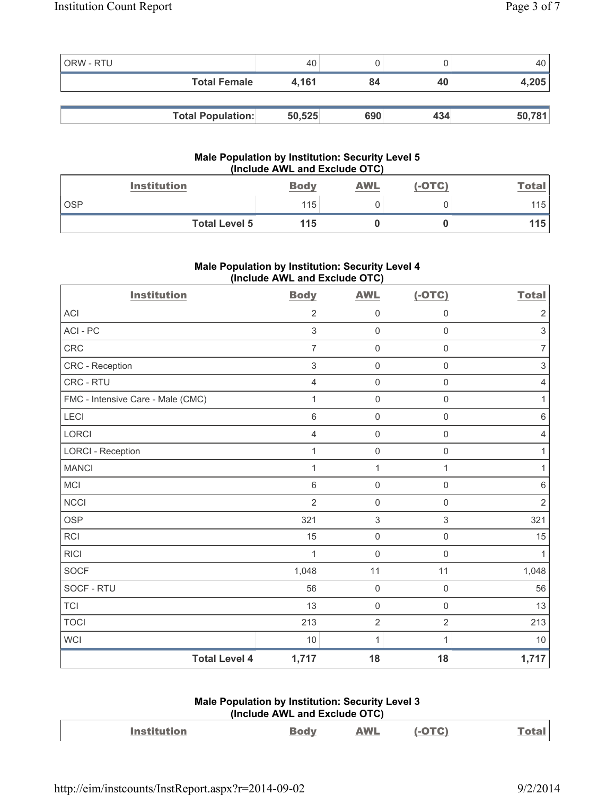| ORW - RTU |                          | 40     |     |     |        |
|-----------|--------------------------|--------|-----|-----|--------|
|           | <b>Total Female</b>      | 4.161  | 84  | 40  | 4,205  |
|           |                          |        |     |     |        |
|           | <b>Total Population:</b> | 50,525 | 690 | 434 | 50,781 |

# **Male Population by Institution: Security Level 5 (Include AWL and Exclude OTC)**

| <b>Institution</b>   | <b>Body</b> | <b>AWL</b> | $(-OTC)$ | <b>Total</b> |
|----------------------|-------------|------------|----------|--------------|
| <b>OSP</b>           | 115         |            |          | 115          |
| <b>Total Level 5</b> | 115         |            |          | 115'         |

# **Male Population by Institution: Security Level 4 (Include AWL and Exclude OTC)**

| <b>Institution</b>                | <b>Body</b>    | <b>AWL</b>          | $(-OTC)$            | <b>Total</b>              |
|-----------------------------------|----------------|---------------------|---------------------|---------------------------|
| <b>ACI</b>                        | $\overline{2}$ | $\mathbf 0$         | 0                   | $\overline{2}$            |
| ACI - PC                          | 3              | $\mathbf 0$         | $\mathsf 0$         | $\mathsf 3$               |
| CRC                               | $\overline{7}$ | $\mathsf{O}\xspace$ | $\mathsf 0$         | $\overline{7}$            |
| CRC - Reception                   | $\sqrt{3}$     | $\mathsf{O}\xspace$ | $\mathbf 0$         | $\ensuremath{\mathsf{3}}$ |
| CRC - RTU                         | $\overline{4}$ | $\mathsf{O}\xspace$ | $\mathsf{O}\xspace$ | $\overline{4}$            |
| FMC - Intensive Care - Male (CMC) | 1              | $\mathsf{O}\xspace$ | $\mathsf 0$         | 1                         |
| <b>LECI</b>                       | $\,6\,$        | $\mathsf{O}\xspace$ | 0                   | $\,6\,$                   |
| <b>LORCI</b>                      | $\overline{4}$ | $\mathsf{O}\xspace$ | $\mathsf 0$         | $\overline{4}$            |
| <b>LORCI - Reception</b>          | 1              | $\mathsf{O}\xspace$ | $\mathsf 0$         | 1                         |
| <b>MANCI</b>                      | 1              | $\mathbf{1}$        | 1                   | 1                         |
| <b>MCI</b>                        | $6\phantom{1}$ | $\mathsf{O}\xspace$ | $\mathsf 0$         | $\,6$                     |
| <b>NCCI</b>                       | $\overline{2}$ | $\mathsf{O}\xspace$ | $\mathsf 0$         | $\overline{2}$            |
| <b>OSP</b>                        | 321            | $\sqrt{3}$          | 3                   | 321                       |
| <b>RCI</b>                        | 15             | $\mathsf{O}\xspace$ | $\mathsf{O}\xspace$ | 15                        |
| <b>RICI</b>                       | 1              | $\mathsf{O}\xspace$ | $\mathbf 0$         | 1                         |
| <b>SOCF</b>                       | 1,048          | 11                  | 11                  | 1,048                     |
| SOCF - RTU                        | 56             | $\mathbf 0$         | $\mathbf 0$         | 56                        |
| <b>TCI</b>                        | 13             | $\mathsf{O}\xspace$ | $\mathsf 0$         | 13                        |
| <b>TOCI</b>                       | 213            | $\overline{2}$      | $\overline{2}$      | 213                       |
| <b>WCI</b>                        | 10             | $\mathbf{1}$        | 1                   | 10                        |
| <b>Total Level 4</b>              | 1,717          | 18                  | 18                  | 1,717                     |

# **Male Population by Institution: Security Level 3 (Include AWL and Exclude OTC)**

| <b>Institution</b> | <b>WL</b> | $\left( -0TC \right)$ |  |
|--------------------|-----------|-----------------------|--|
|                    |           |                       |  |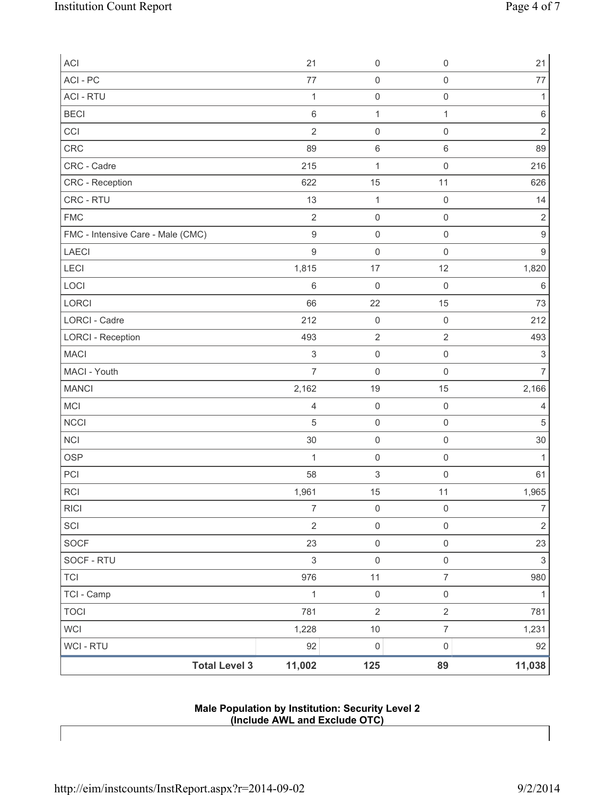| ACI                               | 21               | $\mathsf{O}\xspace$       | $\mathsf 0$         | 21               |
|-----------------------------------|------------------|---------------------------|---------------------|------------------|
| ACI - PC                          | 77               | $\mathsf{O}\xspace$       | $\mathsf 0$         | 77               |
| <b>ACI - RTU</b>                  | 1                | $\mathsf{O}\xspace$       | $\mathsf 0$         | 1                |
| <b>BECI</b>                       | $\,6\,$          | $\mathbf{1}$              | $\mathbf{1}$        | $\,6\,$          |
| CCI                               | $\overline{2}$   | $\mathsf{O}\xspace$       | $\mathsf 0$         | $\overline{2}$   |
| CRC                               | 89               | 6                         | $6\,$               | 89               |
| CRC - Cadre                       | 215              | 1                         | $\mathsf 0$         | 216              |
| CRC - Reception                   | 622              | 15                        | 11                  | 626              |
| CRC - RTU                         | 13               | $\mathbf{1}$              | $\mathsf 0$         | 14               |
| <b>FMC</b>                        | $\overline{2}$   | $\mathsf{O}\xspace$       | $\mathsf 0$         | $\mathbf 2$      |
| FMC - Intensive Care - Male (CMC) | $\mathsf g$      | $\mathsf{O}\xspace$       | $\mathsf 0$         | $\boldsymbol{9}$ |
| LAECI                             | $\hbox{9}$       | $\mathsf{O}\xspace$       | $\mathsf 0$         | $\boldsymbol{9}$ |
| LECI                              | 1,815            | 17                        | 12                  | 1,820            |
| LOCI                              | $\,6\,$          | $\mathbf 0$               | $\mathsf 0$         | $\,6\,$          |
| LORCI                             | 66               | 22                        | 15                  | 73               |
| <b>LORCI - Cadre</b>              | 212              | $\mathbf 0$               | $\mathsf 0$         | 212              |
| <b>LORCI - Reception</b>          | 493              | $\sqrt{2}$                | $\sqrt{2}$          | 493              |
| <b>MACI</b>                       | $\,$ 3 $\,$      | $\mathsf{O}\xspace$       | $\mathsf{O}\xspace$ | $\sqrt{3}$       |
| MACI - Youth                      | $\overline{7}$   | $\mathsf{O}\xspace$       | $\mathsf 0$         | $\overline{7}$   |
| <b>MANCI</b>                      | 2,162            | 19                        | 15                  | 2,166            |
| MCI                               | $\overline{4}$   | $\mathsf{O}\xspace$       | $\mathsf{O}\xspace$ | 4                |
| <b>NCCI</b>                       | $\sqrt{5}$       | $\mathsf{O}\xspace$       | $\mathsf{O}\xspace$ | $\sqrt{5}$       |
| <b>NCI</b>                        | 30               | $\mathsf{O}\xspace$       | $\mathsf 0$         | 30               |
| <b>OSP</b>                        | $\mathbf{1}$     | $\mathsf{O}\xspace$       | $\mathsf 0$         | $\mathbf{1}$     |
| PCI                               | 58               | $\ensuremath{\mathsf{3}}$ | $\mathsf{O}\xspace$ | 61               |
| <b>RCI</b>                        | 1,961            | 15                        | 11                  | 1,965            |
| <b>RICI</b>                       | $\boldsymbol{7}$ | $\mathsf 0$               | $\mathsf{O}\xspace$ | 7                |
| SCI                               | $\sqrt{2}$       | $\mathsf{O}\xspace$       | $\mathsf{O}\xspace$ | $\sqrt{2}$       |
| <b>SOCF</b>                       | 23               | $\mathsf{O}\xspace$       | $\mathsf{O}\xspace$ | 23               |
| SOCF - RTU                        | $\mathsf 3$      | $\mathsf{O}\xspace$       | $\mathsf 0$         | $\mathsf 3$      |
| <b>TCI</b>                        | 976              | 11                        | $\overline{7}$      | 980              |
| TCI - Camp                        | $\mathbf 1$      | $\mathsf{O}\xspace$       | $\mathsf{O}\xspace$ | $\mathbf{1}$     |
| <b>TOCI</b>                       | 781              | $\sqrt{2}$                | $\sqrt{2}$          | 781              |
| <b>WCI</b>                        | 1,228            | $10$                      | $\boldsymbol{7}$    | 1,231            |
| <b>WCI - RTU</b>                  | 92               | $\mathsf{O}\xspace$       | $\mathsf 0$         | 92               |
| <b>Total Level 3</b>              | 11,002           | 125                       | 89                  | 11,038           |

# **Male Population by Institution: Security Level 2 (Include AWL and Exclude OTC)**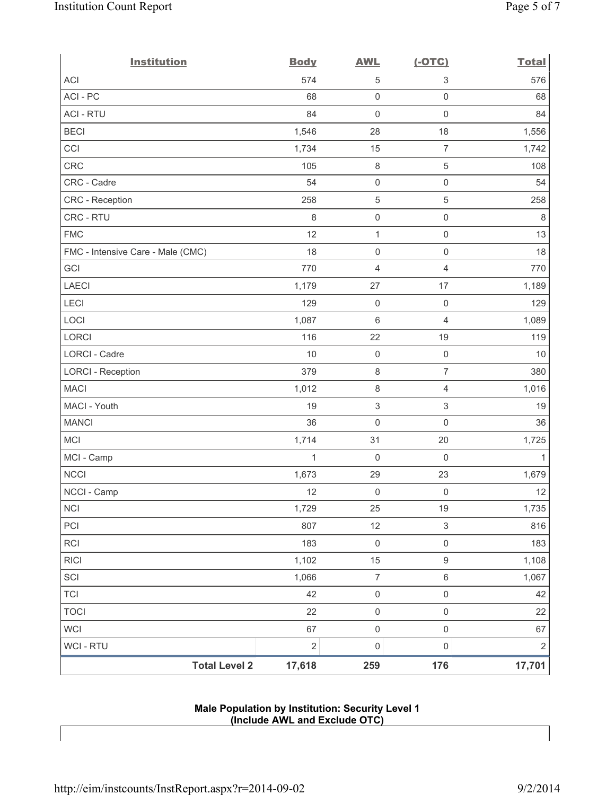| <b>Institution</b>                | <b>Body</b>    | <b>AWL</b>          | $(-OTC)$                  | <b>Total</b> |
|-----------------------------------|----------------|---------------------|---------------------------|--------------|
| <b>ACI</b>                        | 574            | $\mathbf 5$         | 3                         | 576          |
| ACI-PC                            | 68             | $\mathsf{O}\xspace$ | $\mathsf 0$               | 68           |
| <b>ACI - RTU</b>                  | 84             | $\mathsf{O}\xspace$ | $\mathsf 0$               | 84           |
| <b>BECI</b>                       | 1,546          | 28                  | 18                        | 1,556        |
| CCI                               | 1,734          | 15                  | $\overline{7}$            | 1,742        |
| <b>CRC</b>                        | 105            | 8                   | $\,$ 5 $\,$               | 108          |
| CRC - Cadre                       | 54             | $\mathsf{O}\xspace$ | $\mathsf{O}\xspace$       | 54           |
| CRC - Reception                   | 258            | $\mathbf 5$         | $\,$ 5 $\,$               | 258          |
| CRC - RTU                         | 8              | $\mathsf{O}\xspace$ | $\mathsf 0$               | 8            |
| <b>FMC</b>                        | 12             | $\mathbf 1$         | $\mathsf 0$               | 13           |
| FMC - Intensive Care - Male (CMC) | 18             | $\mathsf{O}\xspace$ | $\mathsf 0$               | 18           |
| GCI                               | 770            | 4                   | $\overline{4}$            | 770          |
| <b>LAECI</b>                      | 1,179          | 27                  | 17                        | 1,189        |
| LECI                              | 129            | $\mathsf{O}\xspace$ | $\mathsf 0$               | 129          |
| LOCI                              | 1,087          | $\,6\,$             | $\overline{4}$            | 1,089        |
| LORCI                             | 116            | 22                  | 19                        | 119          |
| LORCI - Cadre                     | 10             | $\mathsf{O}\xspace$ | $\mathsf 0$               | 10           |
| <b>LORCI - Reception</b>          | 379            | 8                   | $\overline{7}$            | 380          |
| <b>MACI</b>                       | 1,012          | $\,8\,$             | $\overline{4}$            | 1,016        |
| MACI - Youth                      | 19             | $\,$ 3 $\,$         | 3                         | 19           |
| <b>MANCI</b>                      | 36             | $\mathsf{O}\xspace$ | $\mathsf 0$               | 36           |
| <b>MCI</b>                        | 1,714          | 31                  | 20                        | 1,725        |
| MCI - Camp                        | 1              | $\mathbf 0$         | $\mathsf 0$               | 1            |
| <b>NCCI</b>                       | 1,673          | 29                  | 23                        | 1,679        |
| NCCI - Camp                       | 12             | $\mathsf{O}\xspace$ | $\mathsf{O}\xspace$       | 12           |
| <b>NCI</b>                        | 1,729          | 25                  | 19                        | 1,735        |
| PCI                               | 807            | 12                  | $\ensuremath{\mathsf{3}}$ | 816          |
| <b>RCI</b>                        | 183            | $\mathsf{O}\xspace$ | $\mathsf 0$               | 183          |
| <b>RICI</b>                       | 1,102          | 15                  | $\hbox{9}$                | 1,108        |
| SCI                               | 1,066          | $\overline{7}$      | $\,6\,$                   | 1,067        |
| <b>TCI</b>                        | 42             | $\mathsf{O}\xspace$ | $\mathsf{O}\xspace$       | 42           |
| <b>TOCI</b>                       | 22             | $\mathsf{O}\xspace$ | $\mathsf{O}\xspace$       | 22           |
| WCI                               | 67             | $\mathsf{O}\xspace$ | $\mathsf 0$               | 67           |
| WCI - RTU                         | $\overline{2}$ | $\mathsf{O}\xspace$ | $\mathsf{O}\xspace$       | $\sqrt{2}$   |
| <b>Total Level 2</b>              | 17,618         | 259                 | 176                       | 17,701       |

# **Male Population by Institution: Security Level 1 (Include AWL and Exclude OTC)**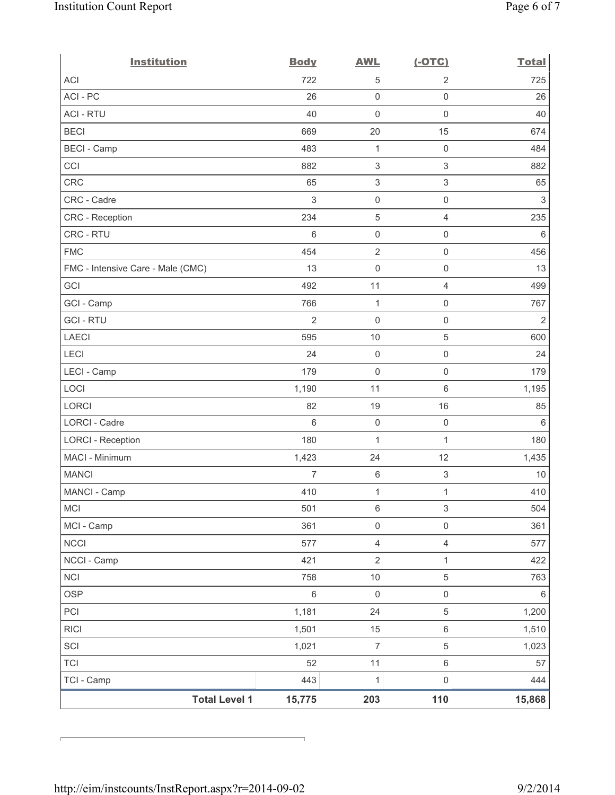| <b>Institution</b>                | <b>Body</b>    | <b>AWL</b>                | $(-OTC)$                  | <b>Total</b>   |
|-----------------------------------|----------------|---------------------------|---------------------------|----------------|
| <b>ACI</b>                        | 722            | 5                         | $\overline{2}$            | 725            |
| ACI - PC                          | 26             | $\mathbf 0$               | $\mathsf{O}\xspace$       | 26             |
| <b>ACI - RTU</b>                  | 40             | $\mathbf 0$               | $\mathbf 0$               | 40             |
| <b>BECI</b>                       | 669            | 20                        | 15                        | 674            |
| <b>BECI</b> - Camp                | 483            | $\mathbf{1}$              | $\mathsf 0$               | 484            |
| CCI                               | 882            | $\ensuremath{\mathsf{3}}$ | 3                         | 882            |
| <b>CRC</b>                        | 65             | $\ensuremath{\mathsf{3}}$ | $\ensuremath{\mathsf{3}}$ | 65             |
| CRC - Cadre                       | $\sqrt{3}$     | $\mathsf{O}\xspace$       | $\mathsf{O}\xspace$       | $\mathsf 3$    |
| CRC - Reception                   | 234            | $\sqrt{5}$                | $\overline{4}$            | 235            |
| CRC - RTU                         | 6              | $\mathsf{O}\xspace$       | $\mathsf{O}\xspace$       | 6              |
| <b>FMC</b>                        | 454            | $\overline{2}$            | $\mathsf{O}\xspace$       | 456            |
| FMC - Intensive Care - Male (CMC) | 13             | $\mathbf 0$               | $\mathsf{O}\xspace$       | 13             |
| GCI                               | 492            | 11                        | 4                         | 499            |
| GCI - Camp                        | 766            | $\mathbf{1}$              | $\mathsf{O}\xspace$       | 767            |
| <b>GCI-RTU</b>                    | $\overline{2}$ | $\mathbf 0$               | $\mathsf{O}\xspace$       | $\overline{2}$ |
| <b>LAECI</b>                      | 595            | 10                        | 5                         | 600            |
| LECI                              | 24             | $\mathsf{O}\xspace$       | $\mathsf{O}\xspace$       | 24             |
| LECI - Camp                       | 179            | $\mathbf 0$               | $\mathsf{O}\xspace$       | 179            |
| LOCI                              | 1,190          | 11                        | $\,6\,$                   | 1,195          |
| <b>LORCI</b>                      | 82             | 19                        | 16                        | 85             |
| LORCI - Cadre                     | $6\phantom{1}$ | $\mathsf{O}\xspace$       | $\mathsf{O}\xspace$       | 6              |
| <b>LORCI - Reception</b>          | 180            | $\mathbf{1}$              | 1                         | 180            |
| MACI - Minimum                    | 1,423          | 24                        | 12                        | 1,435          |
| <b>MANCI</b>                      | $\overline{7}$ | $\,6\,$                   | $\ensuremath{\mathsf{3}}$ | $10$           |
| MANCI - Camp                      | 410            | $\mathbf{1}$              | $\mathbf{1}$              | 410            |
| MCI                               | 501            | $\,6\,$                   | 3                         | 504            |
| MCI - Camp                        | 361            | $\mathsf{O}\xspace$       | $\mathsf{O}\xspace$       | 361            |
| <b>NCCI</b>                       | 577            | $\overline{4}$            | $\overline{4}$            | 577            |
| NCCI - Camp                       | 421            | $\sqrt{2}$                | 1                         | 422            |
| <b>NCI</b>                        | 758            | $10$                      | 5                         | 763            |
| <b>OSP</b>                        | $\,6\,$        | $\mathsf{O}\xspace$       | $\mathsf{O}\xspace$       | $\,6\,$        |
| PCI                               | 1,181          | 24                        | $\,$ 5 $\,$               | 1,200          |
| <b>RICI</b>                       | 1,501          | 15                        | 6                         | 1,510          |
| SCI                               | 1,021          | $\overline{7}$            | 5                         | 1,023          |
| TCI                               | 52             | 11                        | 6                         | 57             |
| TCI - Camp                        | 443            | 1                         | 0                         | 444            |
| <b>Total Level 1</b>              | 15,775         | 203                       | 110                       | 15,868         |

r